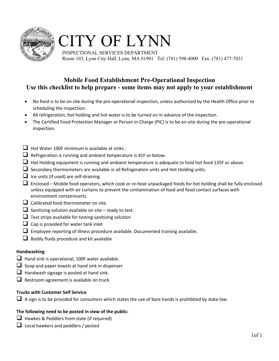

## CITY OF LYNN

 INSPECTIONAL SERVICES DEPARTMENT Room 103, Lynn City Hall, Lynn, MA 01901 Tel: (781) 598-4000 Fax: (781) 477-7031

#### **Mobile Food Establishment Pre-Operational Inspection Use this checklist to help prepare - some items may not apply to your establishment**

- No food is to be on site during the pre-operational inspection, unless authorized by the Health Office prior to scheduling the inspection.
- All refrigeration, hot holding and hot water is to be turned on in advance of the inspection.
- The Certified Food Protection Manager or Person in Charge (PIC) is to be on-site during the pre-operational inspection.
- $\Box$  Hot Water 100F minimum is available at sinks.
- $\Box$  Refrigeration is running and ambient temperature is 41F or below.
- $\Box$  Hot Holding equipment is running and ambient temperature is adequate to hold hot food 135F or above.
- $\Box$  Secondary thermometers are available in all Refrigeration units and Hot Holding units.
- $\Box$  Ice units (if used) are self-draining
- $\Box$  Enclosed Mobile food operators, which cook or re-heat unpackaged foods for hot holding shall be fully enclosed unless equipped with air curtains to prevent the contamination of food and food contact surfaces with environment contaminants.
- $\Box$  Calibrated food thermometer on site.
- $\Box$  Sanitizing solution available on site ready to test.
- $\Box$  Test strips available for testing sanitizing solution
- $\Box$  Cap is provided for water tank inlet
- $\square$  Employee reporting of illness procedure available. Documented training available.
- $\Box$  Bodily fluids procedure and kit available

#### **Handwashing**

- $\Box$  Hand sink is operational, 100F water available.
- $\Box$  Soap and paper towels at hand sink in dispenser
- $\Box$  Handwash signage is posted at hand sink.
- $\Box$  Restroom agreement is available on truck

#### **Trucks with Customer Self Service**

 $\Box$  A sign is to be provided for consumers which states the use of bare hands is prohibited by state law.

#### **The following need to be posted in view of the public:**

- $\Box$  Hawkes & Peddlers from state (if required)
- $\Box$  Local hawkers and peddlers / posted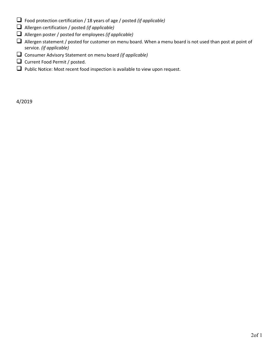- Food protection certification / 18 years of age / posted *(if applicable)*
- Allergen certification / posted *(if applicable)*
- Allergen poster / posted for employees *(if applicable)*
- Allergen statement / posted for customer on menu board. When a menu board is not used than post at point of service. *(if applicable)*
- Consumer Advisory Statement on menu board *(if applicable)*
- Current Food Permit / posted.
- $\Box$  Public Notice: Most recent food inspection is available to view upon request.

4/2019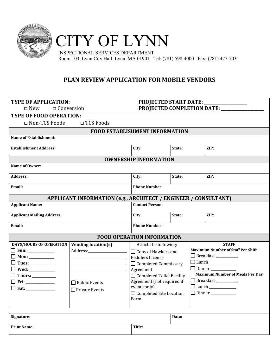



 INSPECTIONAL SERVICES DEPARTMENT Room 103, Lynn City Hall, Lynn, MA 01901 Tel: (781) 598-4000 Fax: (781) 477-7031

#### **PLAN REVIEW APPLICATION FOR MOBILE VENDORS**

| <b>TYPE OF APPLICATION:</b><br><b>PROJECTED START DATE: _</b> |                                                                          |                                       |        |      |                                          |
|---------------------------------------------------------------|--------------------------------------------------------------------------|---------------------------------------|--------|------|------------------------------------------|
|                                                               | PROJECTED COMPLETION DATE: _______<br>$\Box$ Conversion<br>$\square$ New |                                       |        |      |                                          |
| <b>TYPE OF FOOD OPERATION:</b>                                |                                                                          |                                       |        |      |                                          |
| □ Non-TCS Foods                                               | □ TCS Foods                                                              |                                       |        |      |                                          |
|                                                               |                                                                          | <b>FOOD ESTABLISHMENT INFORMATION</b> |        |      |                                          |
| <b>Name of Establishment:</b>                                 |                                                                          |                                       |        |      |                                          |
| <b>Establishment Address:</b>                                 | City:                                                                    | State:                                |        | ZIP: |                                          |
|                                                               |                                                                          | <b>OWNERSHIP INFORMATION</b>          |        |      |                                          |
| Name of Owner:                                                |                                                                          |                                       |        |      |                                          |
| <b>Address:</b>                                               |                                                                          | City:                                 | State: |      | ZIP:                                     |
| Email:                                                        |                                                                          | <b>Phone Number:</b>                  |        |      |                                          |
|                                                               | APPLICANT INFORMATION (e.g., ARCHITECT / ENGINEER / CONSULTANT)          |                                       |        |      |                                          |
| <b>Applicant Name:</b><br><b>Contact Person:</b>              |                                                                          |                                       |        |      |                                          |
| <b>Applicant Mailing Address:</b>                             |                                                                          | City:                                 | State: |      | ZIP:                                     |
| Email:                                                        |                                                                          | <b>Phone Number:</b>                  |        |      |                                          |
|                                                               |                                                                          | <b>FOOD OPERATION INFORMATION</b>     |        |      |                                          |
| <b>DAYS/HOURS OF OPERATION</b>                                | <b>Vending location(s)</b>                                               | Attach the following:                 |        |      | <b>STAFF</b>                             |
|                                                               | Address: Andreas Address:                                                | $\Box$ Copy of Hawkers and            |        |      | <b>Maximum Number of Staff Per Shift</b> |
| $\Box$ Mon: ____________                                      |                                                                          | Peddlers License                      |        |      |                                          |
| $\Box$ Tues: ___________                                      |                                                                          | $\Box$ Completed Commissary           |        |      |                                          |
| $\Box$ Wed: ___________                                       |                                                                          | Agreement                             |        |      | $\Box$ Dinner                            |
| $\Box$ Thurs: ___________                                     |                                                                          | $\Box$ Completed Toilet Facility      |        |      | <b>Maximum Number of Meals Per Day</b>   |
|                                                               | $\Box$ Public Events                                                     | Agreement (not required if            |        |      | Breakfast                                |
|                                                               | $\Box$ Private Events                                                    | events only)<br>$\Box$ Dinner         |        |      |                                          |
|                                                               |                                                                          | □ Completed Site Location<br>Form     |        |      |                                          |
|                                                               |                                                                          |                                       |        |      |                                          |
|                                                               |                                                                          |                                       |        |      |                                          |
| Signature:                                                    |                                                                          |                                       | Date:  |      |                                          |
| <b>Print Name:</b>                                            |                                                                          | Title:                                |        |      |                                          |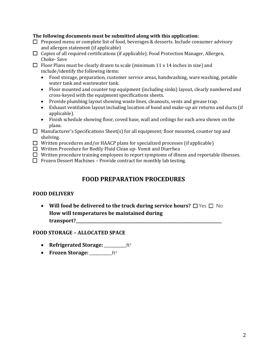#### **The following documents must be submitted along with this application:**

- $\Box$  Proposed menu or complete list of food, beverages & desserts. Include consumer advisory and allergen statement (if applicable)
- $\Box$  Copies of all required certifications (if applicable). Food Protection Manager, Allergen, Choke- Save
- $\Box$  Floor Plans must be clearly drawn to scale (minimum 11 x 14 inches in size) and include/identify the following items:
	- Food storage, preparation, customer service areas, handwashing, ware washing, potable water tank and wastewater tank.
	- Floor mounted and counter top equipment (including sinks) layout, clearly numbered and cross-keyed with the equipment specifications sheets.
	- Provide plumbing layout showing waste lines, cleanouts, vents and grease trap.
	- Exhaust ventilation layout including location of hood and make-up air returns and ducts (if applicable).
	- Finish schedule showing floor, coved base, wall and ceilings for each area shown on the plans.
- $\Box$  Manufacturer's Specifications Sheet(s) for all equipment; floor mounted, counter top and shelving.
- $\Box$  Written procedures and/or HAACP plans for specialized processes (if applicable)
- □ Written Procedure for Bodily Fluid Clean up- Vomit and Diarrhea
- $\Box$  Written procedure training employees to report symptoms of illness and reportable illnesses.
- $\Box$  Frozen Dessert Machines Provide contract for monthly lab testing.

#### **FOOD PREPARATION PROCEDURES**

#### **FOOD DELIVERY**

• **Will food be delivered to the truck during service hours?** □ Yes □ No **How will temperatures be maintained during transport?\_\_\_\_\_\_\_\_\_\_\_\_\_\_\_\_\_\_\_\_\_\_\_\_\_\_\_\_\_\_\_\_\_\_\_\_\_\_\_\_\_\_\_\_\_\_\_\_\_\_\_\_\_\_\_\_\_\_\_\_\_\_\_\_\_\_\_\_\_\_\_\_**

#### **FOOD STORAGE – ALLOCATED SPACE**

- **Refrigerated Storage:** \_\_\_\_\_\_\_\_\_\_ft<sup>3</sup>
- **Frozen Storage:** \_\_\_\_\_\_\_\_\_\_\_\_ft<sup>3</sup>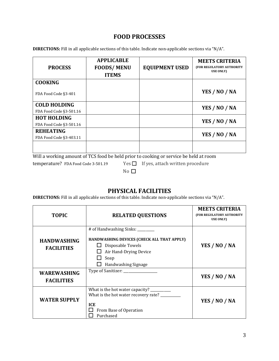#### **FOOD PROCESSES**

**DIRECTIONS:** Fill in all applicable sections of this table. Indicate non-applicable sections via "N/A".

| <b>PROCESS</b>          | <b>APPLICABLE</b><br><b>FOODS/MENU</b><br><b>ITEMS</b> | <b>EQUIPMENT USED</b> | <b>MEETS CRITERIA</b><br>(FOR REGULATORY AUTHORITY<br><b>USE ONLY)</b> |
|-------------------------|--------------------------------------------------------|-----------------------|------------------------------------------------------------------------|
| <b>COOKING</b>          |                                                        |                       |                                                                        |
| FDA Food Code §3-401    |                                                        |                       | YES / NO / NA                                                          |
| <b>COLD HOLDING</b>     |                                                        |                       | YES / NO / NA                                                          |
| FDA Food Code §3-501.16 |                                                        |                       |                                                                        |
| <b>HOT HOLDING</b>      |                                                        |                       |                                                                        |
| FDA Food Code §3-501.16 |                                                        |                       | YES / NO / NA                                                          |
| <b>REHEATING</b>        |                                                        |                       |                                                                        |
| FDA Food Code §3-403.11 |                                                        |                       | YES / NO / NA                                                          |
|                         |                                                        |                       |                                                                        |

Will a working amount of TCS food be held prior to cooking or service be held at room<br>temperature? FDA Food Code 3-501.19 Yes  $\Box$  If yes, attach written procedure

Yes  $\Box$  If yes, attach written procedure

 $No$   $\Box$ 

#### **PHYSICAL FACILITIES**

**DIRECTIONS:** Fill in all applicable sections of this table. Indicate non-applicable sections via "N/A".

| <b>TOPIC</b>                            | <b>RELATED QUESTIONS</b>                                                                                                                                     | <b>MEETS CRITERIA</b><br>(FOR REGULATORY AUTHORITY<br><b>USE ONLY)</b> |
|-----------------------------------------|--------------------------------------------------------------------------------------------------------------------------------------------------------------|------------------------------------------------------------------------|
| <b>HANDWASHING</b><br><b>FACILITIES</b> | # of Handwashing Sinks: ________<br>HANDWASHING DEVICES (CHECK ALL THAT APPLY)<br>Disposable Towels<br>Air Hand-Drying Device<br>Soap<br>Handwashing Signage | YES / NO / NA                                                          |
| <b>WAREWASHING</b><br><b>FACILITIES</b> | Type of Sanitizer: _______________                                                                                                                           | YES / NO / NA                                                          |
| <b>WATER SUPPLY</b>                     | What is the hot water capacity? _________<br>What is the hot water recovery rate? _________<br><b>ICE</b><br>From Base of Operation<br>Purchased             | YES / NO / NA                                                          |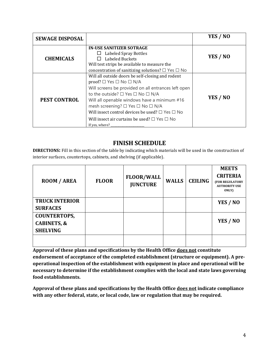| <b>SEWAGE DISPOSAL</b> |                                                                                                                                                                                                                                                                                                                                                                                                                                                                                                   | YES / NO |
|------------------------|---------------------------------------------------------------------------------------------------------------------------------------------------------------------------------------------------------------------------------------------------------------------------------------------------------------------------------------------------------------------------------------------------------------------------------------------------------------------------------------------------|----------|
| <b>CHEMICALS</b>       | <b>IN-USE SANITIZER SOTRAGE</b><br>Labeled Spray Bottles<br>Labeled Buckets<br>Will test strips be available to measure the<br>concentration of sanitizing solutions? $\square$ Yes $\square$ No                                                                                                                                                                                                                                                                                                  | YES / NO |
| <b>PEST CONTROL</b>    | Will all outside doors be self-closing and rodent<br>$\mathsf{proof?} \square$ Yes $\square$ No $\square$ N/A<br>Will screens be provided on all entrances left open<br>to the outside? $\square$ Yes $\square$ No $\square$ N/A<br>Will all openable windows have a minimum #16<br>mesh screening? $\square$ Yes $\square$ No $\square$ N/A<br>Will insect control devices be used? $\square$ Yes $\square$ No<br>Will insect air curtains be used? $\square$ Yes $\square$ No<br>If yes, where? | YES / NO |

#### **FINISH SCHEDULE**

**DIRECTIONS:** Fill in this section of the table by indicating which materials will be used in the construction of interior surfaces, countertops, cabinets, and shelving (if applicable).

| <b>ROOM / AREA</b>                                               | <b>FLOOR</b> | <b>FLOOR/WALL</b><br><b>JUNCTURE</b> | <b>WALLS</b> | <b>CEILING</b> | <b>MEETS</b><br><b>CRITERIA</b><br>(FOR REGULATORY<br><b>AUTHORITY USE</b><br><b>ONLY</b> |
|------------------------------------------------------------------|--------------|--------------------------------------|--------------|----------------|-------------------------------------------------------------------------------------------|
| <b>TRUCK INTERIOR</b><br><b>SURFACES</b>                         |              |                                      |              |                | YES / NO                                                                                  |
| <b>COUNTERTOPS,</b><br><b>CABINETS, &amp;</b><br><b>SHELVING</b> |              |                                      |              |                | YES / NO                                                                                  |
|                                                                  |              |                                      |              |                |                                                                                           |

**Approval of these plans and specifications by the Health Office does not constitute endorsement of acceptance of the completed establishment (structure or equipment). A preoperational inspection of the establishment with equipment in place and operational will be necessary to determine if the establishment complies with the local and state laws governing food establishments.** 

**Approval of these plans and specifications by the Health Office does not indicate compliance with any other federal, state, or local code, law or regulation that may be required.**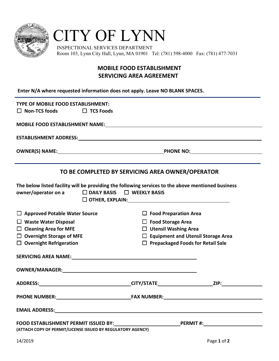

## CITY OF LYNN

 INSPECTIONAL SERVICES DEPARTMENT Room 103, Lynn City Hall, Lynn, MA 01901 Tel: (781) 598-4000 Fax: (781) 477-7031

#### **MOBILE FOOD ESTABLISHMENT SERVICING AREA AGREEMENT**

**Enter N/A where requested information does not apply. Leave NO BLANK SPACES.**

| TYPE OF MOBILE FOOD ESTABLISHMENT:                                                                                                                                                                                             |                                                  |                                                                                                      |  |  |
|--------------------------------------------------------------------------------------------------------------------------------------------------------------------------------------------------------------------------------|--------------------------------------------------|------------------------------------------------------------------------------------------------------|--|--|
| $\Box$ Non-TCS foods<br>$\Box$ TCS Foods                                                                                                                                                                                       |                                                  |                                                                                                      |  |  |
|                                                                                                                                                                                                                                |                                                  |                                                                                                      |  |  |
|                                                                                                                                                                                                                                |                                                  |                                                                                                      |  |  |
|                                                                                                                                                                                                                                |                                                  |                                                                                                      |  |  |
|                                                                                                                                                                                                                                | TO BE COMPLETED BY SERVICING AREA OWNER/OPERATOR |                                                                                                      |  |  |
| The below listed facility will be providing the following services to the above mentioned business                                                                                                                             |                                                  |                                                                                                      |  |  |
| owner/operator on a                                                                                                                                                                                                            | $\Box$ DAILY BASIS $\Box$ WEEKLY BASIS           |                                                                                                      |  |  |
|                                                                                                                                                                                                                                |                                                  |                                                                                                      |  |  |
| $\Box$ Approved Potable Water Source                                                                                                                                                                                           | $\Box$ Food Preparation Area                     |                                                                                                      |  |  |
| $\Box$ Waste Water Disposal                                                                                                                                                                                                    | $\Box$ Food Storage Area                         |                                                                                                      |  |  |
| $\Box$ Cleaning Area for MFE                                                                                                                                                                                                   | $\Box$ Utensil Washing Area                      |                                                                                                      |  |  |
| $\Box$ Overnight Storage of MFE                                                                                                                                                                                                |                                                  | □ Equipment and Utensil Storage Area                                                                 |  |  |
| $\Box$ Overnight Refrigeration                                                                                                                                                                                                 |                                                  | $\Box$ Prepackaged Foods for Retail Sale                                                             |  |  |
| SERVICING AREA NAME: NAME: NAME: NAME: NAME: NAME: NAME: NAME: NAME: NAME: NAME: NAME: NAME: NAME: NAME: NAME: NAME: NAME: NAME: NAME: NAME: NAME: NAME: NAME: NAME: NAME: NAME: NAME: NAME: NAME: NAME: NAME: NAME: NAME: NAM |                                                  |                                                                                                      |  |  |
|                                                                                                                                                                                                                                |                                                  |                                                                                                      |  |  |
|                                                                                                                                                                                                                                |                                                  | ZIP: Andrea Maria Santa Santa Santa Santa Alemania a Santa Santa Santa Alemania a Santa Alemania a S |  |  |
| <b>PHONE NUMBER:</b>                                                                                                                                                                                                           | <b>FAX NUMBER:</b>                               |                                                                                                      |  |  |
| <b>EMAIL ADDRESS: EMAIL ADDRESS:</b>                                                                                                                                                                                           |                                                  |                                                                                                      |  |  |
| FOOD ESTABLISHMENT PERMIT ISSUED BY: NAMEL AND RESERVE THE RESERVE TO A RESERVE THE RESERVE THAT A RESERVE THE                                                                                                                 |                                                  | $\textsf{\textbf{PERMIT}\#:}\qquad \qquad \blacksquare$                                              |  |  |
| (ATTACH COPY OF PERMIT/LICENSE ISSUED BY REGULATORY AGENCY)                                                                                                                                                                    |                                                  |                                                                                                      |  |  |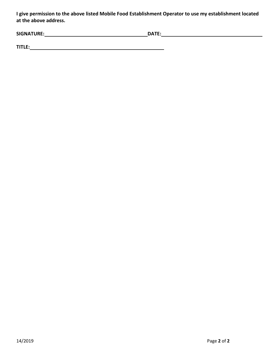**I give permission to the above listed Mobile Food Establishment Operator to use my establishment located at the above address.**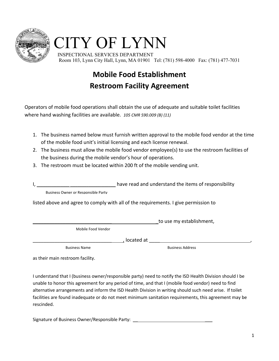

# CITY OF LYNN

 INSPECTIONAL SERVICES DEPARTMENT Room 103, Lynn City Hall, Lynn, MA 01901 Tel: (781) 598-4000 Fax: (781) 477-7031

### **Mobile Food Establishment Restroom Facility Agreement**

Operators of mobile food operations shall obtain the use of adequate and suitable toilet facilities where hand washing facilities are available. *105 CMR 590.009 (B) (11)*

- 1. The business named below must furnish written approval to the mobile food vendor at the time of the mobile food unit's initial licensing and each license renewal.
- 2. The business must allow the mobile food vendor employee(s) to use the restroom facilities of the business during the mobile vendor's hour of operations.
- 3. The restroom must be located within 200 ft of the mobile vending unit.

have read and understand the items of responsibility

Business Owner or Responsible Party

listed above and agree to comply with all of the requirements. I give permission to

\_\_\_\_\_\_\_\_\_\_\_\_\_\_\_\_\_\_\_\_\_\_\_\_\_\_\_\_\_ \_to use my establishment,

Mobile Food Vendor

\_\_\_\_\_\_\_\_\_\_\_\_\_\_\_\_\_\_\_\_\_\_\_\_\_\_\_\_\_ , located at \_\_\_\_ ,

**Business Name** Business Address

as their main restroom facility.

I understand that I (business owner/responsible party) need to notify the ISD Health Division should I be unable to honor this agreement for any period of time, and that I (mobile food vendor) need to find alternative arrangements and inform the ISD Health Division in writing should such need arise. If toilet facilities are found inadequate or do not meet minimum sanitation requirements, this agreement may be rescinded.

Signature of Business Owner/Responsible Party: \_\_\_\_\_\_\_\_\_\_\_\_\_\_\_\_\_\_\_\_\_\_\_\_\_\_\_\_\_\_\_\_\_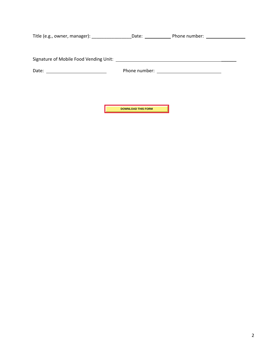|       |                           | Date: Phone number: 2008. [19] Phone number: |  |
|-------|---------------------------|----------------------------------------------|--|
|       |                           |                                              |  |
|       |                           |                                              |  |
|       |                           |                                              |  |
| Date: |                           |                                              |  |
|       |                           |                                              |  |
|       |                           |                                              |  |
|       |                           |                                              |  |
|       |                           |                                              |  |
|       | <b>DOWNLOAD THIS FORM</b> |                                              |  |